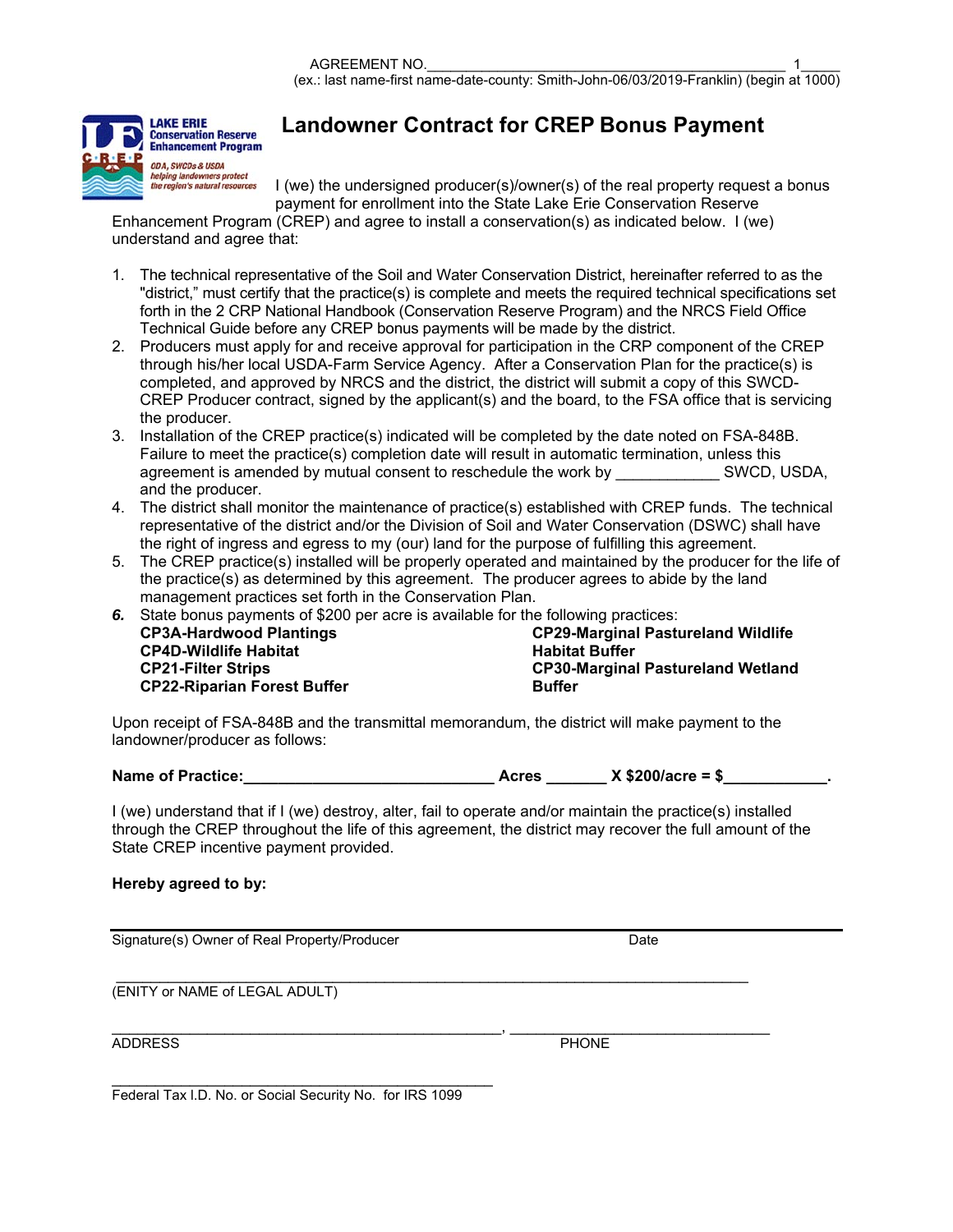

## **Landowner Contract for CREP Bonus Payment**

I (we) the undersigned producer(s)/owner(s) of the real property request a bonus payment for enrollment into the State Lake Erie Conservation Reserve

Enhancement Program (CREP) and agree to install a conservation(s) as indicated below. I (we) understand and agree that:

- 1. The technical representative of the Soil and Water Conservation District, hereinafter referred to as the "district," must certify that the practice(s) is complete and meets the required technical specifications set forth in the 2 CRP National Handbook (Conservation Reserve Program) and the NRCS Field Office Technical Guide before any CREP bonus payments will be made by the district.
- 2. Producers must apply for and receive approval for participation in the CRP component of the CREP through his/her local USDA-Farm Service Agency. After a Conservation Plan for the practice(s) is completed, and approved by NRCS and the district, the district will submit a copy of this SWCD-CREP Producer contract, signed by the applicant(s) and the board, to the FSA office that is servicing the producer.
- 3. Installation of the CREP practice(s) indicated will be completed by the date noted on FSA-848B. Failure to meet the practice(s) completion date will result in automatic termination, unless this agreement is amended by mutual consent to reschedule the work by SWCD. USDA. agreement is amended by mutual consent to reschedule the work by and the producer.
- 4. The district shall monitor the maintenance of practice(s) established with CREP funds. The technical representative of the district and/or the Division of Soil and Water Conservation (DSWC) shall have the right of ingress and egress to my (our) land for the purpose of fulfilling this agreement.
- 5. The CREP practice(s) installed will be properly operated and maintained by the producer for the life of the practice(s) as determined by this agreement. The producer agrees to abide by the land management practices set forth in the Conservation Plan.
- *6.* State bonus payments of \$200 per acre is available for the following practices: **CP3A-Hardwood Plantings**

| <b>CP29-Marginal Pastureland Wildlife</b> |  |
|-------------------------------------------|--|
| <b>Habitat Buffer</b>                     |  |
| <b>CP30-Marginal Pastureland Wetland</b>  |  |
| <b>Buffer</b>                             |  |

Upon receipt of FSA-848B and the transmittal memorandum, the district will make payment to the landowner/producer as follows:

| <b>Name of Practice:</b> | Acres | $X $200/ \text{acre} = $$ |  |
|--------------------------|-------|---------------------------|--|
|                          |       |                           |  |

I (we) understand that if I (we) destroy, alter, fail to operate and/or maintain the practice(s) installed through the CREP throughout the life of this agreement, the district may recover the full amount of the State CREP incentive payment provided.

 $\frac{1}{2}$  , and the contribution of the contribution of  $\frac{1}{2}$  , and the contribution of  $\frac{1}{2}$ 

## **Hereby agreed to by:**

Signature(s) Owner of Real Property/Producer Date Date

 \_\_\_\_\_\_\_\_\_\_\_\_\_\_\_\_\_\_\_\_\_\_\_\_\_\_\_\_\_\_\_\_\_\_\_\_\_\_\_\_\_\_\_\_\_\_\_\_\_\_\_\_\_\_\_\_\_\_\_\_\_\_\_\_\_\_\_\_\_\_\_\_\_ (ENITY or NAME of LEGAL ADULT)

**CP4D-Wildlife Habitat CP21-Filter Strips** 

**CP22-Riparian Forest Buffer** 

ADDRESS PHONE

Federal Tax l.D. No. or Social Security No. for IRS 1099

\_\_\_\_\_\_\_\_\_\_\_\_\_\_\_\_\_\_\_\_\_\_\_\_\_\_\_\_\_\_\_\_\_\_\_\_\_\_\_\_\_\_\_\_